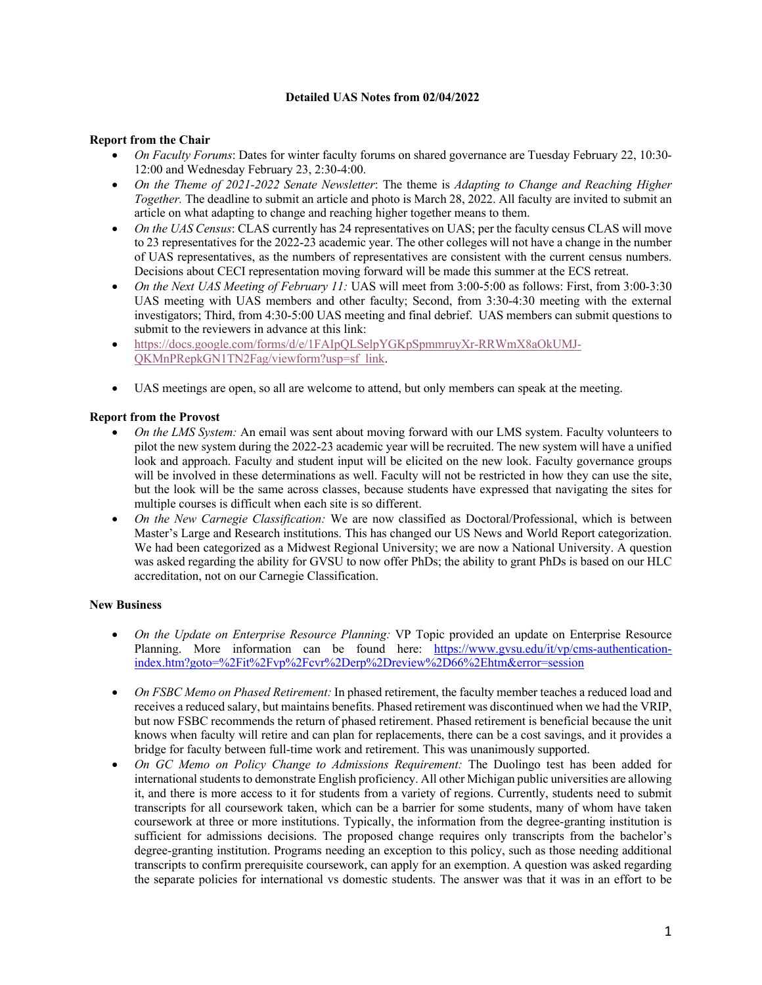## **Detailed UAS Notes from 02/04/2022**

## **Report from the Chair**

- *On Faculty Forums*: Dates for winter faculty forums on shared governance are Tuesday February 22, 10:30- 12:00 and Wednesday February 23, 2:30-4:00.
- *On the Theme of 2021-2022 Senate Newsletter*: The theme is *Adapting to Change and Reaching Higher Together.* The deadline to submit an article and photo is March 28, 2022. All faculty are invited to submit an article on what adapting to change and reaching higher together means to them.
- *On the UAS Census*: CLAS currently has 24 representatives on UAS; per the faculty census CLAS will move to 23 representatives for the 2022-23 academic year. The other colleges will not have a change in the number of UAS representatives, as the numbers of representatives are consistent with the current census numbers. Decisions about CECI representation moving forward will be made this summer at the ECS retreat.
- *On the Next UAS Meeting of February 11:* UAS will meet from 3:00-5:00 as follows: First, from 3:00-3:30 UAS meeting with UAS members and other faculty; Second, from 3:30-4:30 meeting with the external investigators; Third, from 4:30-5:00 UAS meeting and final debrief. UAS members can submit questions to submit to the reviewers in advance at this link:
- https://docs.google.com/forms/d/e/1FAIpQLSelpYGKpSpmmruyXr-RRWmX8aOkUMJ-QKMnPRepkGN1TN2Fag/viewform?usp=sf\_link.
- UAS meetings are open, so all are welcome to attend, but only members can speak at the meeting.

## **Report from the Provost**

- *On the LMS System:* An email was sent about moving forward with our LMS system. Faculty volunteers to pilot the new system during the 2022-23 academic year will be recruited. The new system will have a unified look and approach. Faculty and student input will be elicited on the new look. Faculty governance groups will be involved in these determinations as well. Faculty will not be restricted in how they can use the site, but the look will be the same across classes, because students have expressed that navigating the sites for multiple courses is difficult when each site is so different.
- *On the New Carnegie Classification:* We are now classified as Doctoral/Professional, which is between Master's Large and Research institutions. This has changed our US News and World Report categorization. We had been categorized as a Midwest Regional University; we are now a National University. A question was asked regarding the ability for GVSU to now offer PhDs; the ability to grant PhDs is based on our HLC accreditation, not on our Carnegie Classification.

## **New Business**

- *On the Update on Enterprise Resource Planning:* VP Topic provided an update on Enterprise Resource Planning. More information can be found here: https://www.gvsu.edu/it/vp/cms-authenticationindex.htm?goto=%2Fit%2Fvp%2Fcvr%2Derp%2Dreview%2D66%2Ehtm&error=session
- *On FSBC Memo on Phased Retirement:* In phased retirement, the faculty member teaches a reduced load and receives a reduced salary, but maintains benefits. Phased retirement was discontinued when we had the VRIP, but now FSBC recommends the return of phased retirement. Phased retirement is beneficial because the unit knows when faculty will retire and can plan for replacements, there can be a cost savings, and it provides a bridge for faculty between full-time work and retirement. This was unanimously supported.
- *On GC Memo on Policy Change to Admissions Requirement:* The Duolingo test has been added for international students to demonstrate English proficiency. All other Michigan public universities are allowing it, and there is more access to it for students from a variety of regions. Currently, students need to submit transcripts for all coursework taken, which can be a barrier for some students, many of whom have taken coursework at three or more institutions. Typically, the information from the degree-granting institution is sufficient for admissions decisions. The proposed change requires only transcripts from the bachelor's degree-granting institution. Programs needing an exception to this policy, such as those needing additional transcripts to confirm prerequisite coursework, can apply for an exemption. A question was asked regarding the separate policies for international vs domestic students. The answer was that it was in an effort to be